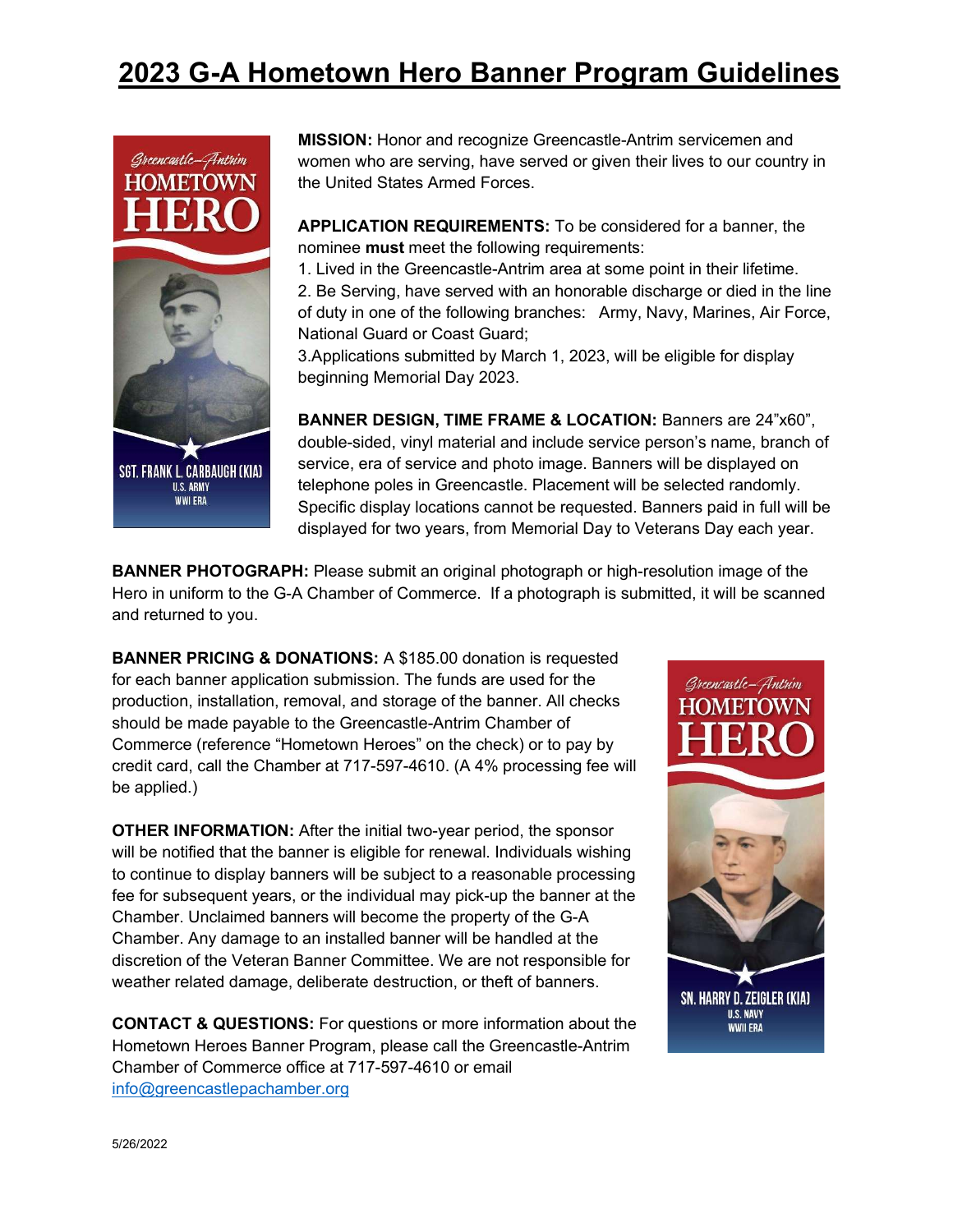### 2023 G-A Hometown Hero Banner Program Guidelines



MISSION: Honor and recognize Greencastle-Antrim servicemen and women who are serving, have served or given their lives to our country in the United States Armed Forces.

APPLICATION REQUIREMENTS: To be considered for a banner, the nominee must meet the following requirements:

1. Lived in the Greencastle-Antrim area at some point in their lifetime.

2. Be Serving, have served with an honorable discharge or died in the line of duty in one of the following branches: Army, Navy, Marines, Air Force, National Guard or Coast Guard;

3.Applications submitted by March 1, 2023, will be eligible for display beginning Memorial Day 2023.

BANNER DESIGN, TIME FRAME & LOCATION: Banners are 24"x60", double-sided, vinyl material and include service person's name, branch of service, era of service and photo image. Banners will be displayed on telephone poles in Greencastle. Placement will be selected randomly. Specific display locations cannot be requested. Banners paid in full will be displayed for two years, from Memorial Day to Veterans Day each year.

BANNER PHOTOGRAPH: Please submit an original photograph or high-resolution image of the Hero in uniform to the G-A Chamber of Commerce. If a photograph is submitted, it will be scanned and returned to you.

BANNER PRICING & DONATIONS: A \$185.00 donation is requested for each banner application submission. The funds are used for the production, installation, removal, and storage of the banner. All checks should be made payable to the Greencastle-Antrim Chamber of Commerce (reference "Hometown Heroes" on the check) or to pay by credit card, call the Chamber at 717-597-4610. (A 4% processing fee will be applied.)

OTHER INFORMATION: After the initial two-year period, the sponsor will be notified that the banner is eligible for renewal. Individuals wishing to continue to display banners will be subject to a reasonable processing fee for subsequent years, or the individual may pick-up the banner at the Chamber. Unclaimed banners will become the property of the G-A Chamber. Any damage to an installed banner will be handled at the discretion of the Veteran Banner Committee. We are not responsible for weather related damage, deliberate destruction, or theft of banners.

CONTACT & QUESTIONS: For questions or more information about the Hometown Heroes Banner Program, please call the Greencastle-Antrim Chamber of Commerce office at 717-597-4610 or email info@greencastlepachamber.org

# Greencastle– Antrim HOMETOWN